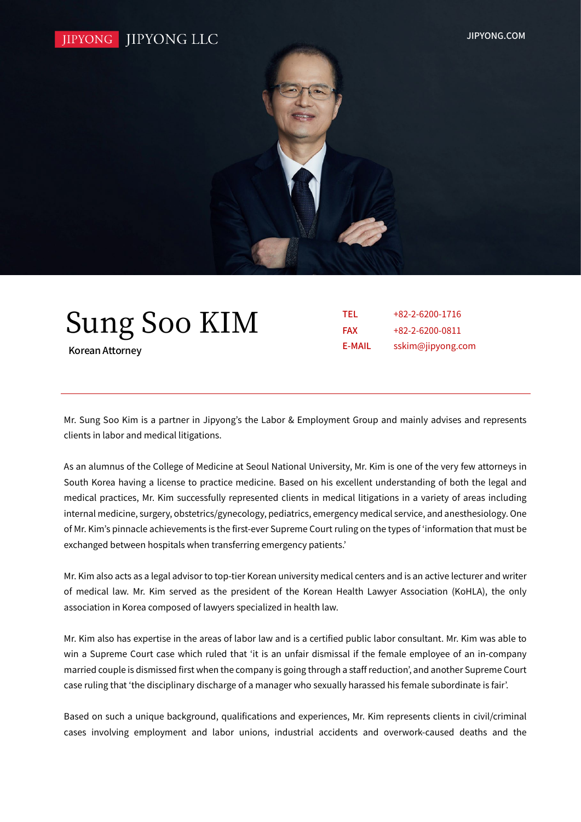

| <b>Sung Soo KIM</b> |  |
|---------------------|--|
|---------------------|--|

Korean Attorney

| TEL           | $+82-2-6200-1716$ |
|---------------|-------------------|
| <b>FAX</b>    | $+82-2-6200-0811$ |
| <b>E-MAIL</b> | sskim@jipyong.com |

Mr. Sung Soo Kim is a partner in Jipyong's the Labor & Employment Group and mainly advises and represents clients in labor and medical litigations.

As an alumnus of the College of Medicine at Seoul National University, Mr. Kim is one of the very few attorneys in South Korea having a license to practice medicine. Based on his excellent understanding of both the legal and medical practices, Mr. Kim successfully represented clients in medical litigations in a variety of areas including internal medicine, surgery, obstetrics/gynecology, pediatrics, emergency medical service, and anesthesiology. One of Mr. Kim's pinnacle achievements is the first-ever Supreme Court ruling on the types of 'information that must be exchanged between hospitals when transferring emergency patients.'

Mr. Kim also acts as a legal advisor to top-tier Korean university medical centers and is an active lecturer and writer of medical law. Mr. Kim served as the president of the Korean Health Lawyer Association (KoHLA), the only association in Korea composed of lawyers specialized in health law.

Mr. Kim also has expertise in the areas of labor law and is a certified public labor consultant. Mr. Kim was able to win a Supreme Court case which ruled that 'it is an unfair dismissal if the female employee of an in-company married couple is dismissed first when the company is going through a staff reduction', and another Supreme Court case ruling that 'the disciplinary discharge of a manager who sexually harassed his female subordinate is fair'.

Based on such a unique background, qualifications and experiences, Mr. Kim represents clients in civil/criminal cases involving employment and labor unions, industrial accidents and overwork-caused deaths and the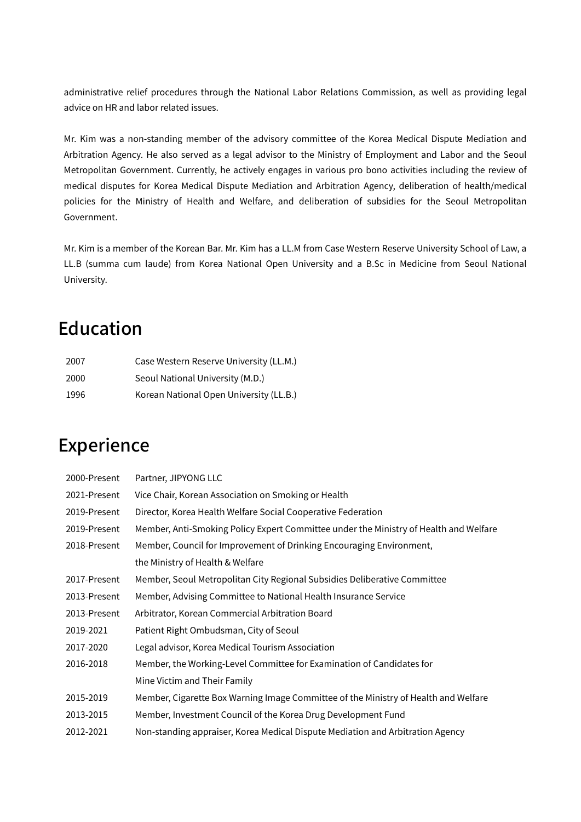administrative relief procedures through the National Labor Relations Commission, as well as providing legal advice on HR and labor related issues.

Mr. Kim was a non-standing member of the advisory committee of the Korea Medical Dispute Mediation and Arbitration Agency. He also served as a legal advisor to the Ministry of Employment and Labor and the Seoul Metropolitan Government. Currently, he actively engages in various pro bono activities including the review of medical disputes for Korea Medical Dispute Mediation and Arbitration Agency, deliberation of health/medical policies for the Ministry of Health and Welfare, and deliberation of subsidies for the Seoul Metropolitan Government.

Mr. Kim is a member of the Korean Bar. Mr. Kim has a LL.M from Case Western Reserve University School of Law, a LL.B (summa cum laude) from Korea National Open University and a B.Sc in Medicine from Seoul National University.

### Education

| 2007 | Case Western Reserve University (LL.M.) |
|------|-----------------------------------------|
| 2000 | Seoul National University (M.D.)        |
| 1996 | Korean National Open University (LL.B.) |

## Experience

| 2000-Present | Partner, JIPYONG LLC                                                                  |
|--------------|---------------------------------------------------------------------------------------|
| 2021-Present | Vice Chair, Korean Association on Smoking or Health                                   |
| 2019-Present | Director, Korea Health Welfare Social Cooperative Federation                          |
| 2019-Present | Member, Anti-Smoking Policy Expert Committee under the Ministry of Health and Welfare |
| 2018-Present | Member, Council for Improvement of Drinking Encouraging Environment,                  |
|              | the Ministry of Health & Welfare                                                      |
| 2017-Present | Member, Seoul Metropolitan City Regional Subsidies Deliberative Committee             |
| 2013-Present | Member, Advising Committee to National Health Insurance Service                       |
| 2013-Present | Arbitrator, Korean Commercial Arbitration Board                                       |
| 2019-2021    | Patient Right Ombudsman, City of Seoul                                                |
| 2017-2020    | Legal advisor, Korea Medical Tourism Association                                      |
| 2016-2018    | Member, the Working-Level Committee for Examination of Candidates for                 |
|              | Mine Victim and Their Family                                                          |
| 2015-2019    | Member, Cigarette Box Warning Image Committee of the Ministry of Health and Welfare   |
| 2013-2015    | Member, Investment Council of the Korea Drug Development Fund                         |
| 2012-2021    | Non-standing appraiser, Korea Medical Dispute Mediation and Arbitration Agency        |
|              |                                                                                       |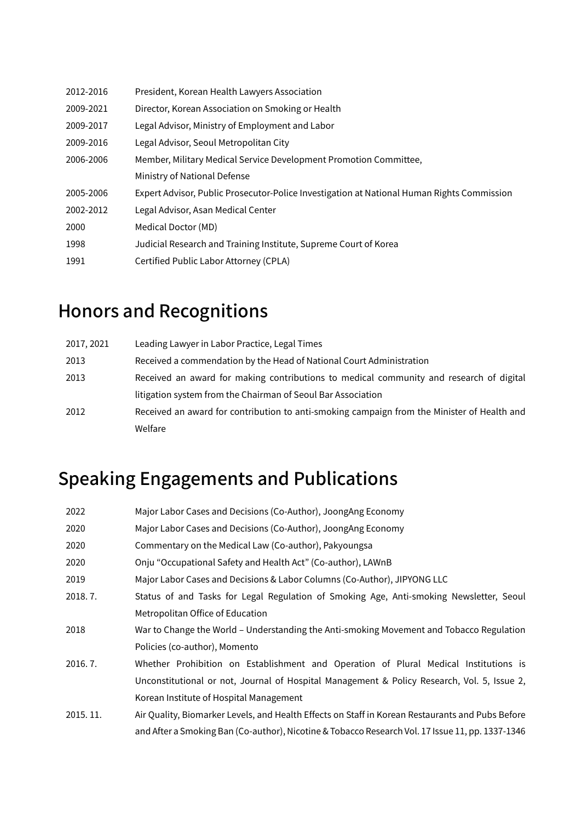| President, Korean Health Lawyers Association                                               |
|--------------------------------------------------------------------------------------------|
| Director, Korean Association on Smoking or Health                                          |
| Legal Advisor, Ministry of Employment and Labor                                            |
| Legal Advisor, Seoul Metropolitan City                                                     |
| Member, Military Medical Service Development Promotion Committee,                          |
| Ministry of National Defense                                                               |
| Expert Advisor, Public Prosecutor-Police Investigation at National Human Rights Commission |
| Legal Advisor, Asan Medical Center                                                         |
| Medical Doctor (MD)                                                                        |
| Judicial Research and Training Institute, Supreme Court of Korea                           |
| Certified Public Labor Attorney (CPLA)                                                     |
|                                                                                            |

## Honors and Recognitions

| 2017, 2021 | Leading Lawyer in Labor Practice, Legal Times                                               |
|------------|---------------------------------------------------------------------------------------------|
| 2013       | Received a commendation by the Head of National Court Administration                        |
| 2013       | Received an award for making contributions to medical community and research of digital     |
|            | litigation system from the Chairman of Seoul Bar Association                                |
| 2012       | Received an award for contribution to anti-smoking campaign from the Minister of Health and |
|            | Welfare                                                                                     |

# Speaking Engagements and Publications

| 2022     | Major Labor Cases and Decisions (Co-Author), JoongAng Economy                                    |
|----------|--------------------------------------------------------------------------------------------------|
| 2020     | Major Labor Cases and Decisions (Co-Author), JoongAng Economy                                    |
| 2020     | Commentary on the Medical Law (Co-author), Pakyoungsa                                            |
| 2020     | Onju "Occupational Safety and Health Act" (Co-author), LAWnB                                     |
| 2019     | Major Labor Cases and Decisions & Labor Columns (Co-Author), JIPYONG LLC                         |
| 2018.7.  | Status of and Tasks for Legal Regulation of Smoking Age, Anti-smoking Newsletter, Seoul          |
|          | Metropolitan Office of Education                                                                 |
| 2018     | War to Change the World - Understanding the Anti-smoking Movement and Tobacco Regulation         |
|          | Policies (co-author), Momento                                                                    |
| 2016.7.  | Whether Prohibition on Establishment and Operation of Plural Medical Institutions is             |
|          | Unconstitutional or not, Journal of Hospital Management & Policy Research, Vol. 5, Issue 2,      |
|          | Korean Institute of Hospital Management                                                          |
| 2015.11. | Air Quality, Biomarker Levels, and Health Effects on Staff in Korean Restaurants and Pubs Before |
|          | and After a Smoking Ban (Co-author), Nicotine & Tobacco Research Vol. 17 Issue 11, pp. 1337-1346 |